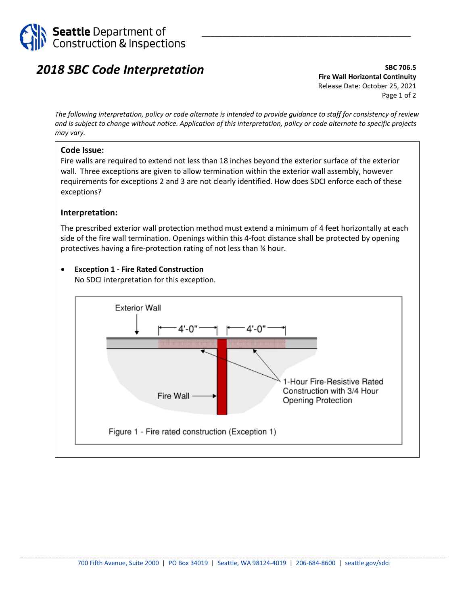

# *2018 SBC Code Interpretation*

**SBC 706.5 Fire Wall Horizontal Continuity** Release Date: October 25, 2021 Page 1 of 2

\_\_\_\_\_\_\_\_\_\_\_\_\_\_\_\_\_\_\_\_\_\_\_\_\_\_\_\_\_\_\_\_\_\_\_\_\_\_\_\_\_\_\_\_\_\_\_\_\_\_

*The following interpretation, policy or code alternate is intended to provide guidance to staff for consistency of review and is subject to change without notice. Application of this interpretation, policy or code alternate to specific projects may vary.*

#### **Code Issue:**

Fire walls are required to extend not less than 18 inches beyond the exterior surface of the exterior wall. Three exceptions are given to allow termination within the exterior wall assembly, however requirements for exceptions 2 and 3 are not clearly identified. How does SDCI enforce each of these exceptions?

#### **Interpretation:**

The prescribed exterior wall protection method must extend a minimum of 4 feet horizontally at each side of the fire wall termination. Openings within this 4-foot distance shall be protected by opening protectives having a fire-protection rating of not less than ¾ hour.

#### • **Exception 1 - Fire Rated Construction**

No SDCI interpretation for this exception.